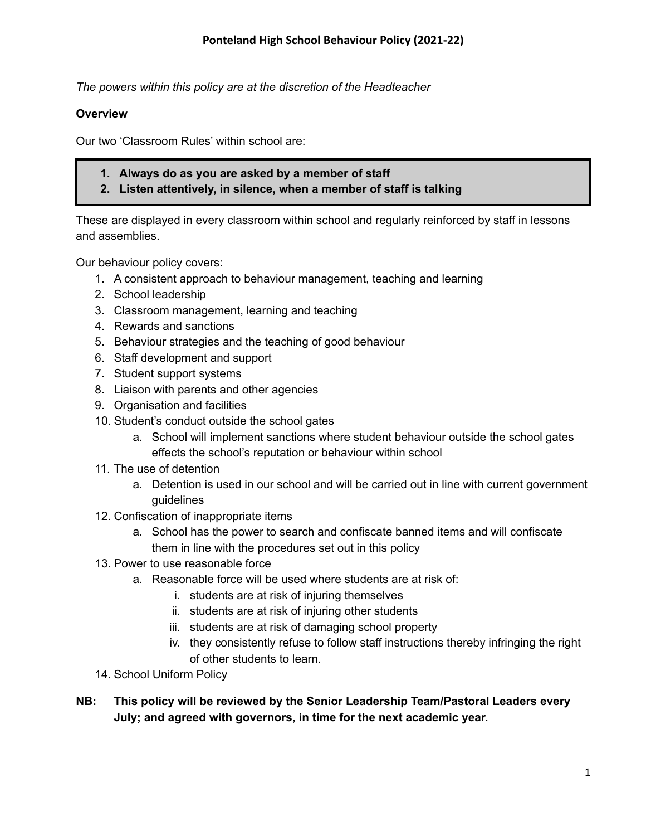*The powers within this policy are at the discretion of the Headteacher*

#### **Overview**

Our two 'Classroom Rules' within school are:

- **1. Always do as you are asked by a member of staff**
- **2. Listen attentively, in silence, when a member of staff is talking**

These are displayed in every classroom within school and regularly reinforced by staff in lessons and assemblies.

Our behaviour policy covers:

- 1. A consistent approach to behaviour management, teaching and learning
- 2. School leadership
- 3. Classroom management, learning and teaching
- 4. Rewards and sanctions
- 5. Behaviour strategies and the teaching of good behaviour
- 6. Staff development and support
- 7. Student support systems
- 8. Liaison with parents and other agencies
- 9. Organisation and facilities
- 10. Student's conduct outside the school gates
	- a. School will implement sanctions where student behaviour outside the school gates effects the school's reputation or behaviour within school
- 11. The use of detention
	- a. Detention is used in our school and will be carried out in line with current government guidelines
- 12. Confiscation of inappropriate items
	- a. School has the power to search and confiscate banned items and will confiscate them in line with the procedures set out in this policy
- 13. Power to use reasonable force
	- a. Reasonable force will be used where students are at risk of:
		- i. students are at risk of injuring themselves
		- ii. students are at risk of injuring other students
		- iii. students are at risk of damaging school property
		- iv. they consistently refuse to follow staff instructions thereby infringing the right of other students to learn.
- 14. School Uniform Policy
- **NB: This policy will be reviewed by the Senior Leadership Team/Pastoral Leaders every July; and agreed with governors, in time for the next academic year.**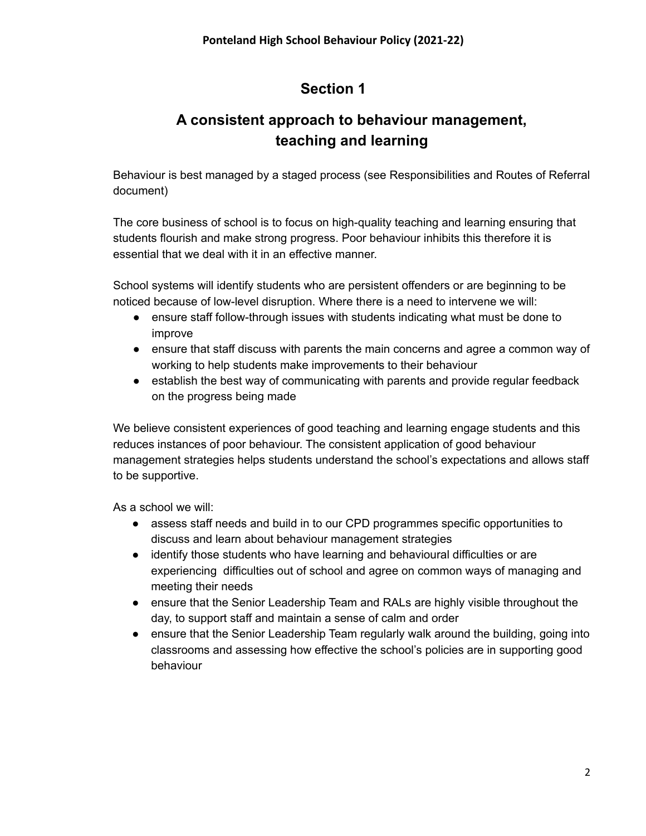# **A consistent approach to behaviour management, teaching and learning**

Behaviour is best managed by a staged process (see Responsibilities and Routes of Referral document)

The core business of school is to focus on high-quality teaching and learning ensuring that students flourish and make strong progress. Poor behaviour inhibits this therefore it is essential that we deal with it in an effective manner.

School systems will identify students who are persistent offenders or are beginning to be noticed because of low-level disruption. Where there is a need to intervene we will:

- ensure staff follow-through issues with students indicating what must be done to improve
- ensure that staff discuss with parents the main concerns and agree a common way of working to help students make improvements to their behaviour
- establish the best way of communicating with parents and provide regular feedback on the progress being made

We believe consistent experiences of good teaching and learning engage students and this reduces instances of poor behaviour. The consistent application of good behaviour management strategies helps students understand the school's expectations and allows staff to be supportive.

- assess staff needs and build in to our CPD programmes specific opportunities to discuss and learn about behaviour management strategies
- identify those students who have learning and behavioural difficulties or are experiencing difficulties out of school and agree on common ways of managing and meeting their needs
- ensure that the Senior Leadership Team and RALs are highly visible throughout the day, to support staff and maintain a sense of calm and order
- ensure that the Senior Leadership Team regularly walk around the building, going into classrooms and assessing how effective the school's policies are in supporting good behaviour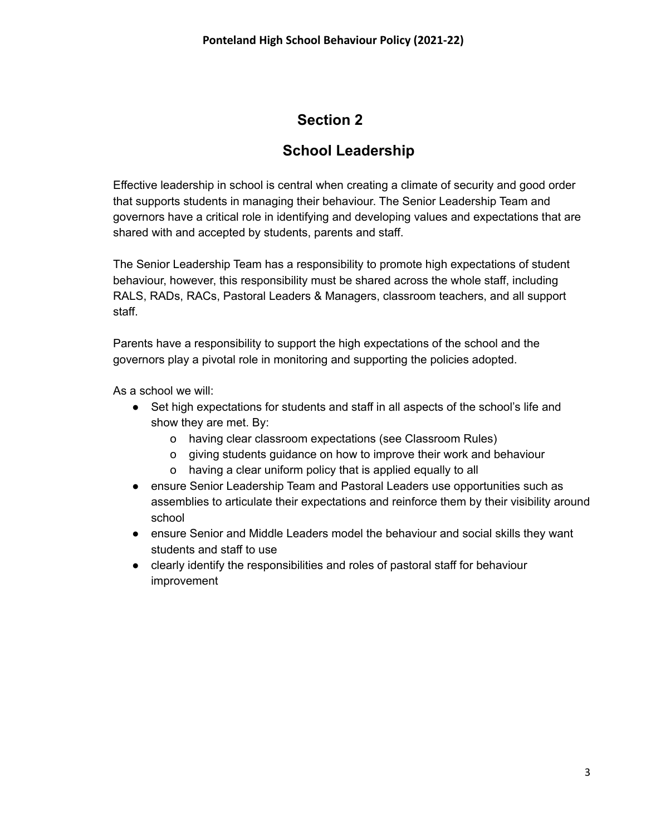#### **School Leadership**

Effective leadership in school is central when creating a climate of security and good order that supports students in managing their behaviour. The Senior Leadership Team and governors have a critical role in identifying and developing values and expectations that are shared with and accepted by students, parents and staff.

The Senior Leadership Team has a responsibility to promote high expectations of student behaviour, however, this responsibility must be shared across the whole staff, including RALS, RADs, RACs, Pastoral Leaders & Managers, classroom teachers, and all support staff.

Parents have a responsibility to support the high expectations of the school and the governors play a pivotal role in monitoring and supporting the policies adopted.

- Set high expectations for students and staff in all aspects of the school's life and show they are met. By:
	- o having clear classroom expectations (see Classroom Rules)
	- o giving students guidance on how to improve their work and behaviour
	- o having a clear uniform policy that is applied equally to all
- ensure Senior Leadership Team and Pastoral Leaders use opportunities such as assemblies to articulate their expectations and reinforce them by their visibility around school
- ensure Senior and Middle Leaders model the behaviour and social skills they want students and staff to use
- clearly identify the responsibilities and roles of pastoral staff for behaviour improvement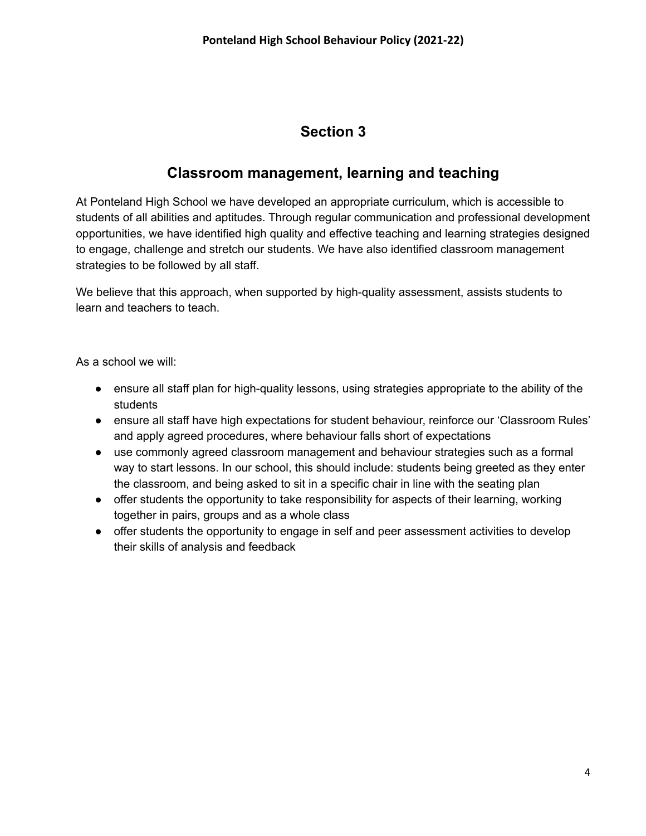#### **Classroom management, learning and teaching**

At Ponteland High School we have developed an appropriate curriculum, which is accessible to students of all abilities and aptitudes. Through regular communication and professional development opportunities, we have identified high quality and effective teaching and learning strategies designed to engage, challenge and stretch our students. We have also identified classroom management strategies to be followed by all staff.

We believe that this approach, when supported by high-quality assessment, assists students to learn and teachers to teach.

- ensure all staff plan for high-quality lessons, using strategies appropriate to the ability of the students
- ensure all staff have high expectations for student behaviour, reinforce our 'Classroom Rules' and apply agreed procedures, where behaviour falls short of expectations
- use commonly agreed classroom management and behaviour strategies such as a formal way to start lessons. In our school, this should include: students being greeted as they enter the classroom, and being asked to sit in a specific chair in line with the seating plan
- offer students the opportunity to take responsibility for aspects of their learning, working together in pairs, groups and as a whole class
- offer students the opportunity to engage in self and peer assessment activities to develop their skills of analysis and feedback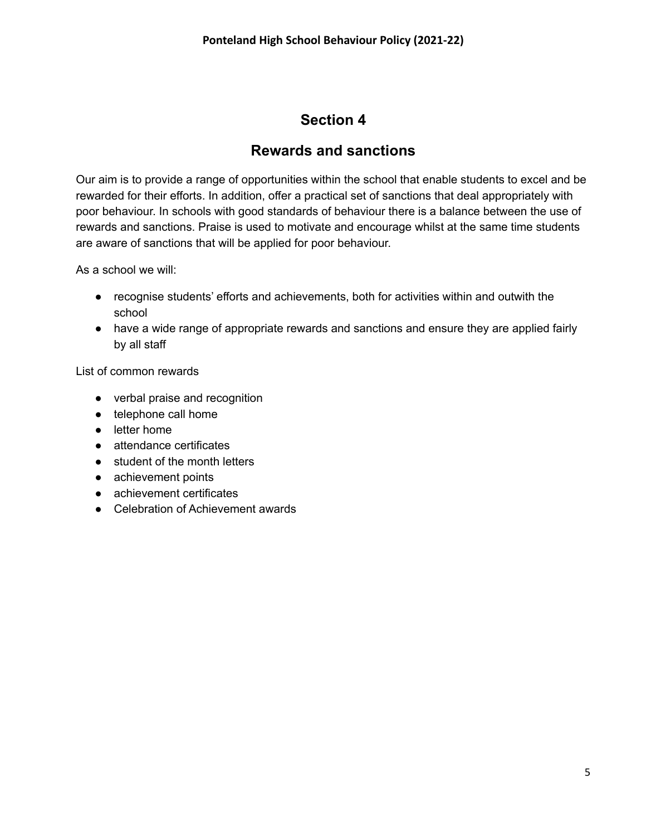#### **Rewards and sanctions**

Our aim is to provide a range of opportunities within the school that enable students to excel and be rewarded for their efforts. In addition, offer a practical set of sanctions that deal appropriately with poor behaviour. In schools with good standards of behaviour there is a balance between the use of rewards and sanctions. Praise is used to motivate and encourage whilst at the same time students are aware of sanctions that will be applied for poor behaviour.

As a school we will:

- recognise students' efforts and achievements, both for activities within and outwith the school
- have a wide range of appropriate rewards and sanctions and ensure they are applied fairly by all staff

List of common rewards

- verbal praise and recognition
- telephone call home
- letter home
- attendance certificates
- student of the month letters
- achievement points
- achievement certificates
- Celebration of Achievement awards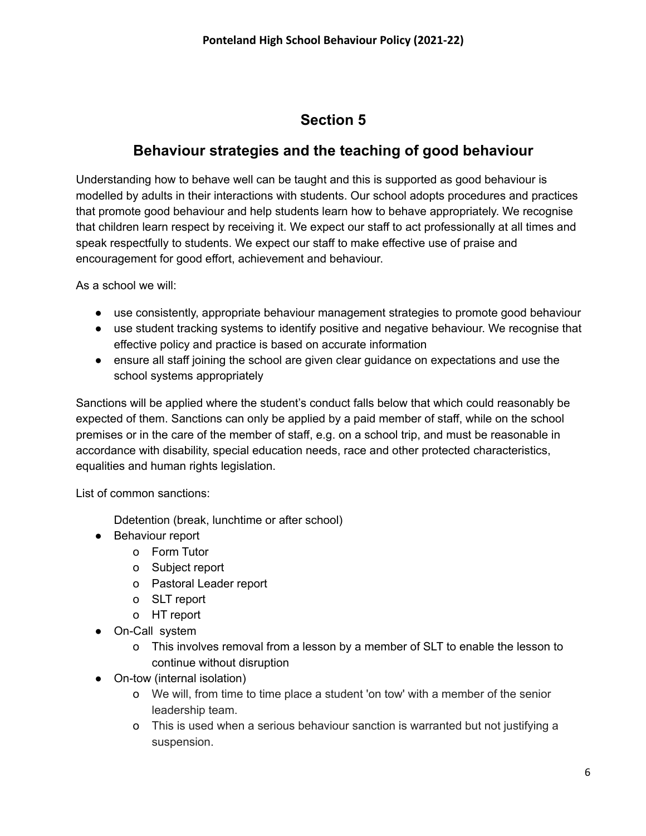#### **Behaviour strategies and the teaching of good behaviour**

Understanding how to behave well can be taught and this is supported as good behaviour is modelled by adults in their interactions with students. Our school adopts procedures and practices that promote good behaviour and help students learn how to behave appropriately. We recognise that children learn respect by receiving it. We expect our staff to act professionally at all times and speak respectfully to students. We expect our staff to make effective use of praise and encouragement for good effort, achievement and behaviour.

As a school we will:

- use consistently, appropriate behaviour management strategies to promote good behaviour
- use student tracking systems to identify positive and negative behaviour. We recognise that effective policy and practice is based on accurate information
- ensure all staff joining the school are given clear guidance on expectations and use the school systems appropriately

Sanctions will be applied where the student's conduct falls below that which could reasonably be expected of them. Sanctions can only be applied by a paid member of staff, while on the school premises or in the care of the member of staff, e.g. on a school trip, and must be reasonable in accordance with disability, special education needs, race and other protected characteristics, equalities and human rights legislation.

List of common sanctions:

Ddetention (break, lunchtime or after school)

- Behaviour report
	- o Form Tutor
	- o Subject report
	- o Pastoral Leader report
	- o SLT report
	- o HT report
- On-Call system
	- o This involves removal from a lesson by a member of SLT to enable the lesson to continue without disruption
- On-tow (internal isolation)
	- o We will, from time to time place a student 'on tow' with a member of the senior leadership team.
	- o This is used when a serious behaviour sanction is warranted but not justifying a suspension.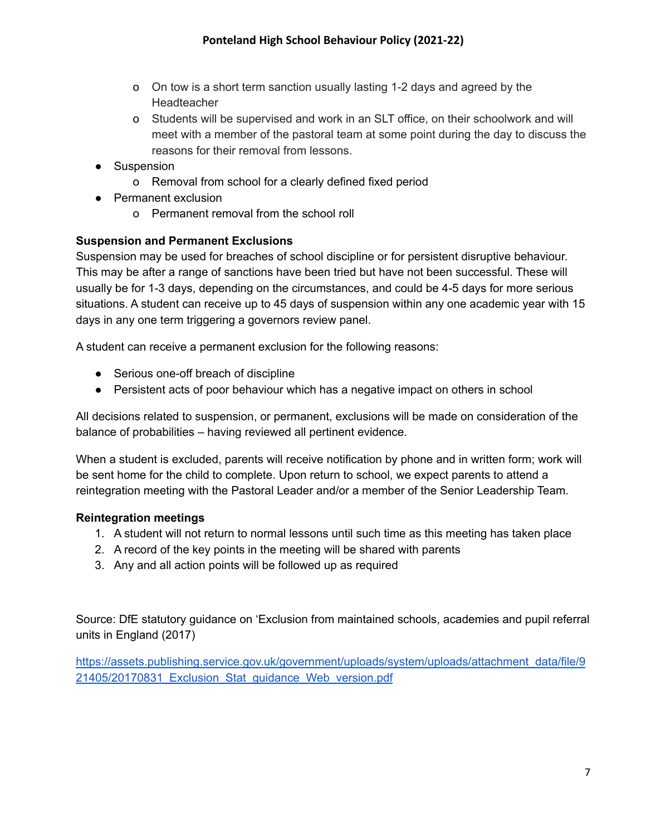- o On tow is a short term sanction usually lasting 1-2 days and agreed by the **Headteacher**
- o Students will be supervised and work in an SLT office, on their schoolwork and will meet with a member of the pastoral team at some point during the day to discuss the reasons for their removal from lessons.
- Suspension
	- o Removal from school for a clearly defined fixed period
- Permanent exclusion
	- o Permanent removal from the school roll

#### **Suspension and Permanent Exclusions**

Suspension may be used for breaches of school discipline or for persistent disruptive behaviour. This may be after a range of sanctions have been tried but have not been successful. These will usually be for 1-3 days, depending on the circumstances, and could be 4-5 days for more serious situations. A student can receive up to 45 days of suspension within any one academic year with 15 days in any one term triggering a governors review panel.

A student can receive a permanent exclusion for the following reasons:

- Serious one-off breach of discipline
- Persistent acts of poor behaviour which has a negative impact on others in school

All decisions related to suspension, or permanent, exclusions will be made on consideration of the balance of probabilities – having reviewed all pertinent evidence.

When a student is excluded, parents will receive notification by phone and in written form; work will be sent home for the child to complete. Upon return to school, we expect parents to attend a reintegration meeting with the Pastoral Leader and/or a member of the Senior Leadership Team.

#### **Reintegration meetings**

- 1. A student will not return to normal lessons until such time as this meeting has taken place
- 2. A record of the key points in the meeting will be shared with parents
- 3. Any and all action points will be followed up as required

Source: DfE statutory guidance on 'Exclusion from maintained schools, academies and pupil referral units in England (2017)

[https://assets.publishing.service.gov.uk/government/uploads/system/uploads/attachment\\_data/file/9](https://assets.publishing.service.gov.uk/government/uploads/system/uploads/attachment_data/file/921405/20170831_Exclusion_Stat_guidance_Web_version.pdf) 21405/20170831 Exclusion Stat guidance Web version.pdf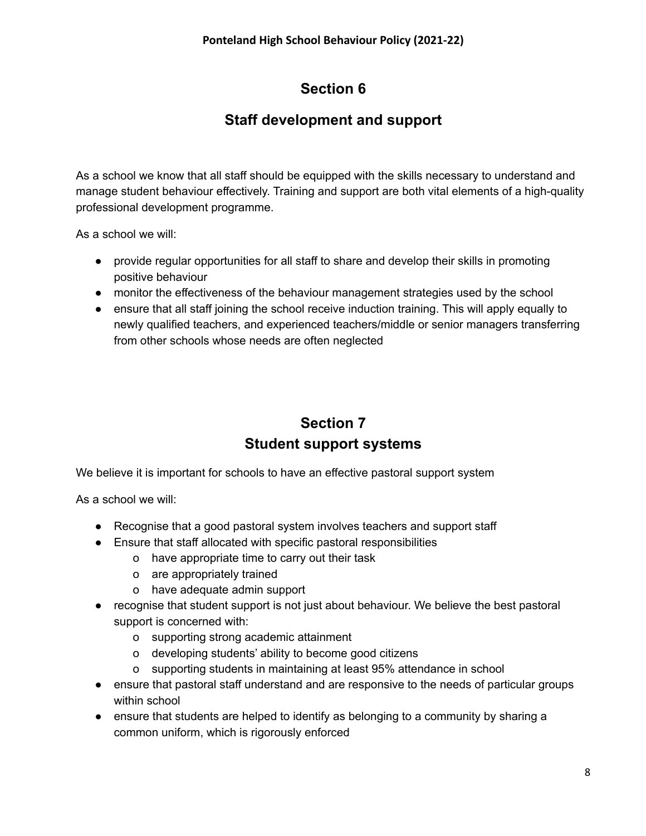## **Staff development and support**

As a school we know that all staff should be equipped with the skills necessary to understand and manage student behaviour effectively. Training and support are both vital elements of a high-quality professional development programme.

As a school we will:

- provide regular opportunities for all staff to share and develop their skills in promoting positive behaviour
- monitor the effectiveness of the behaviour management strategies used by the school
- ensure that all staff joining the school receive induction training. This will apply equally to newly qualified teachers, and experienced teachers/middle or senior managers transferring from other schools whose needs are often neglected

# **Section 7 Student support systems**

We believe it is important for schools to have an effective pastoral support system

- Recognise that a good pastoral system involves teachers and support staff
- Ensure that staff allocated with specific pastoral responsibilities
	- o have appropriate time to carry out their task
	- o are appropriately trained
	- o have adequate admin support
- recognise that student support is not just about behaviour. We believe the best pastoral support is concerned with:
	- o supporting strong academic attainment
	- o developing students' ability to become good citizens
	- o supporting students in maintaining at least 95% attendance in school
- ensure that pastoral staff understand and are responsive to the needs of particular groups within school
- ensure that students are helped to identify as belonging to a community by sharing a common uniform, which is rigorously enforced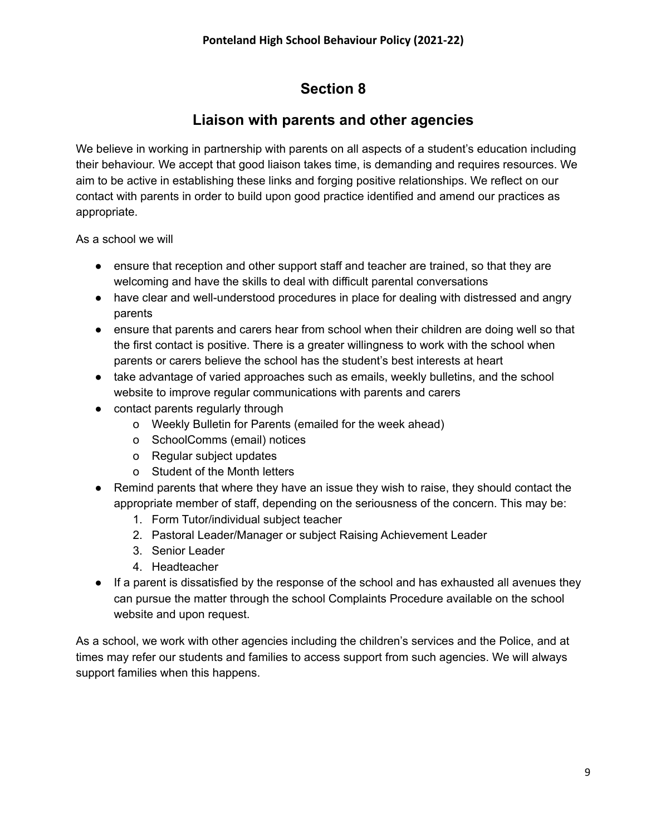#### **Liaison with parents and other agencies**

We believe in working in partnership with parents on all aspects of a student's education including their behaviour. We accept that good liaison takes time, is demanding and requires resources. We aim to be active in establishing these links and forging positive relationships. We reflect on our contact with parents in order to build upon good practice identified and amend our practices as appropriate.

As a school we will

- ensure that reception and other support staff and teacher are trained, so that they are welcoming and have the skills to deal with difficult parental conversations
- have clear and well-understood procedures in place for dealing with distressed and angry parents
- ensure that parents and carers hear from school when their children are doing well so that the first contact is positive. There is a greater willingness to work with the school when parents or carers believe the school has the student's best interests at heart
- take advantage of varied approaches such as emails, weekly bulletins, and the school website to improve regular communications with parents and carers
- contact parents regularly through
	- o Weekly Bulletin for Parents (emailed for the week ahead)
	- o SchoolComms (email) notices
	- o Regular subject updates
	- o Student of the Month letters
- Remind parents that where they have an issue they wish to raise, they should contact the appropriate member of staff, depending on the seriousness of the concern. This may be:
	- 1. Form Tutor/individual subject teacher
	- 2. Pastoral Leader/Manager or subject Raising Achievement Leader
	- 3. Senior Leader
	- 4. Headteacher
- If a parent is dissatisfied by the response of the school and has exhausted all avenues they can pursue the matter through the school Complaints Procedure available on the school website and upon request.

As a school, we work with other agencies including the children's services and the Police, and at times may refer our students and families to access support from such agencies. We will always support families when this happens.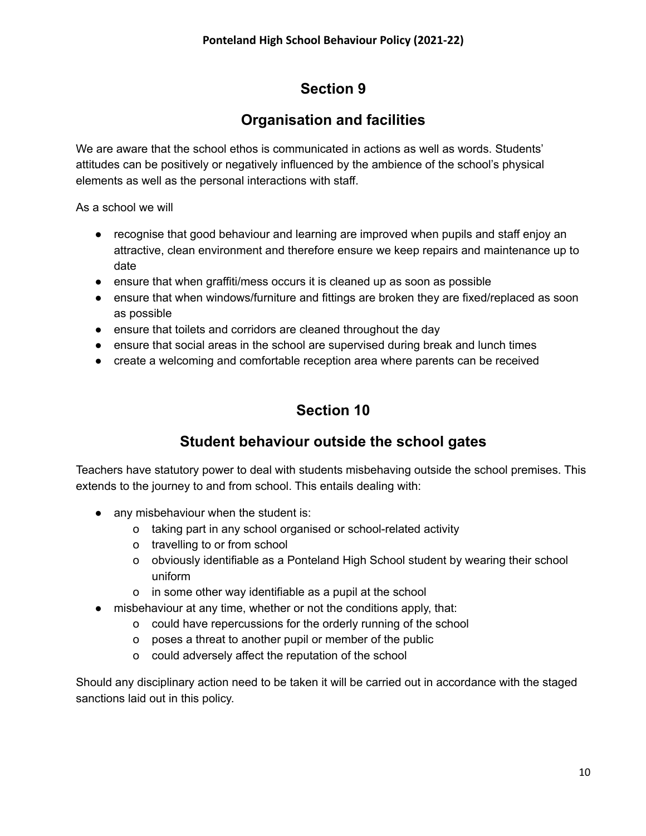## **Organisation and facilities**

We are aware that the school ethos is communicated in actions as well as words. Students' attitudes can be positively or negatively influenced by the ambience of the school's physical elements as well as the personal interactions with staff.

As a school we will

- recognise that good behaviour and learning are improved when pupils and staff enjoy an attractive, clean environment and therefore ensure we keep repairs and maintenance up to date
- ensure that when graffiti/mess occurs it is cleaned up as soon as possible
- ensure that when windows/furniture and fittings are broken they are fixed/replaced as soon as possible
- ensure that toilets and corridors are cleaned throughout the day
- ensure that social areas in the school are supervised during break and lunch times
- create a welcoming and comfortable reception area where parents can be received

# **Section 10**

### **Student behaviour outside the school gates**

Teachers have statutory power to deal with students misbehaving outside the school premises. This extends to the journey to and from school. This entails dealing with:

- any misbehaviour when the student is:
	- o taking part in any school organised or school-related activity
	- o travelling to or from school
	- o obviously identifiable as a Ponteland High School student by wearing their school uniform
	- o in some other way identifiable as a pupil at the school
- misbehaviour at any time, whether or not the conditions apply, that:
	- o could have repercussions for the orderly running of the school
	- o poses a threat to another pupil or member of the public
	- o could adversely affect the reputation of the school

Should any disciplinary action need to be taken it will be carried out in accordance with the staged sanctions laid out in this policy.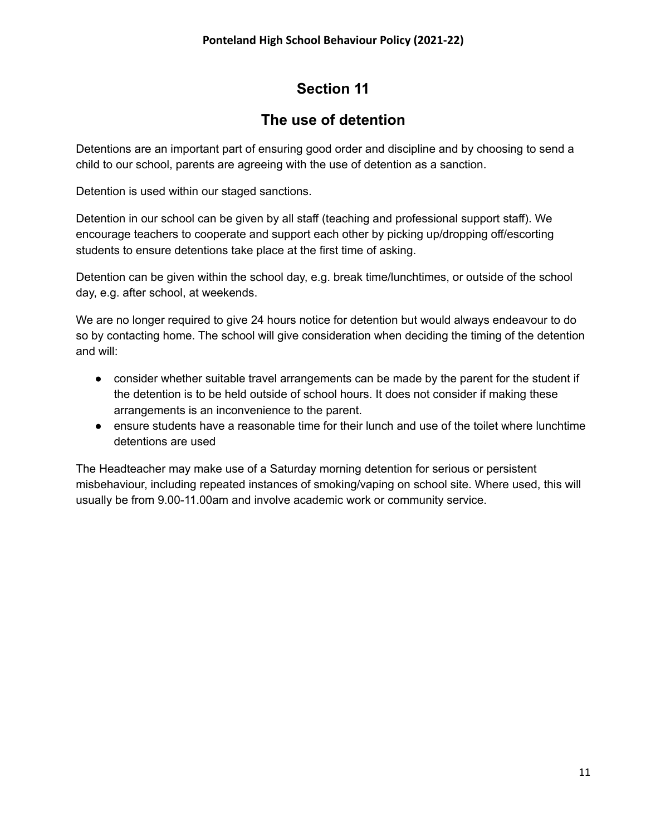#### **The use of detention**

Detentions are an important part of ensuring good order and discipline and by choosing to send a child to our school, parents are agreeing with the use of detention as a sanction.

Detention is used within our staged sanctions.

Detention in our school can be given by all staff (teaching and professional support staff). We encourage teachers to cooperate and support each other by picking up/dropping off/escorting students to ensure detentions take place at the first time of asking.

Detention can be given within the school day, e.g. break time/lunchtimes, or outside of the school day, e.g. after school, at weekends.

We are no longer required to give 24 hours notice for detention but would always endeavour to do so by contacting home. The school will give consideration when deciding the timing of the detention and will:

- consider whether suitable travel arrangements can be made by the parent for the student if the detention is to be held outside of school hours. It does not consider if making these arrangements is an inconvenience to the parent.
- ensure students have a reasonable time for their lunch and use of the toilet where lunchtime detentions are used

The Headteacher may make use of a Saturday morning detention for serious or persistent misbehaviour, including repeated instances of smoking/vaping on school site. Where used, this will usually be from 9.00-11.00am and involve academic work or community service.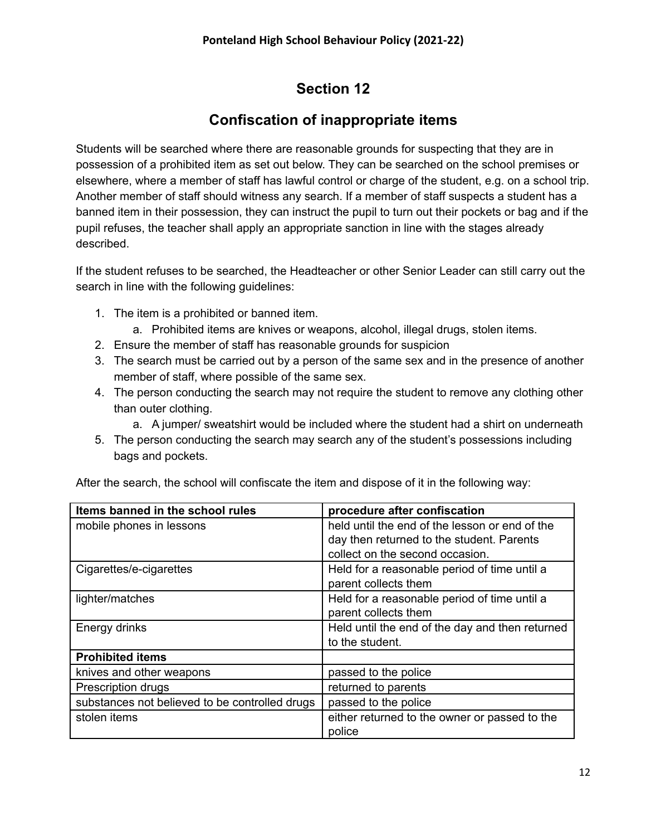# **Confiscation of inappropriate items**

Students will be searched where there are reasonable grounds for suspecting that they are in possession of a prohibited item as set out below. They can be searched on the school premises or elsewhere, where a member of staff has lawful control or charge of the student, e.g. on a school trip. Another member of staff should witness any search. If a member of staff suspects a student has a banned item in their possession, they can instruct the pupil to turn out their pockets or bag and if the pupil refuses, the teacher shall apply an appropriate sanction in line with the stages already described.

If the student refuses to be searched, the Headteacher or other Senior Leader can still carry out the search in line with the following guidelines:

- 1. The item is a prohibited or banned item.
	- a. Prohibited items are knives or weapons, alcohol, illegal drugs, stolen items.
- 2. Ensure the member of staff has reasonable grounds for suspicion
- 3. The search must be carried out by a person of the same sex and in the presence of another member of staff, where possible of the same sex.
- 4. The person conducting the search may not require the student to remove any clothing other than outer clothing.
	- a. A jumper/ sweatshirt would be included where the student had a shirt on underneath
- 5. The person conducting the search may search any of the student's possessions including bags and pockets.

| Items banned in the school rules               | procedure after confiscation                    |
|------------------------------------------------|-------------------------------------------------|
| mobile phones in lessons                       | held until the end of the lesson or end of the  |
|                                                | day then returned to the student. Parents       |
|                                                | collect on the second occasion.                 |
| Cigarettes/e-cigarettes                        | Held for a reasonable period of time until a    |
|                                                | parent collects them                            |
| lighter/matches                                | Held for a reasonable period of time until a    |
|                                                | parent collects them                            |
| Energy drinks                                  | Held until the end of the day and then returned |
|                                                | to the student.                                 |
| <b>Prohibited items</b>                        |                                                 |
| knives and other weapons                       | passed to the police                            |
| Prescription drugs                             | returned to parents                             |
| substances not believed to be controlled drugs | passed to the police                            |
| stolen items                                   | either returned to the owner or passed to the   |
|                                                | police                                          |

After the search, the school will confiscate the item and dispose of it in the following way: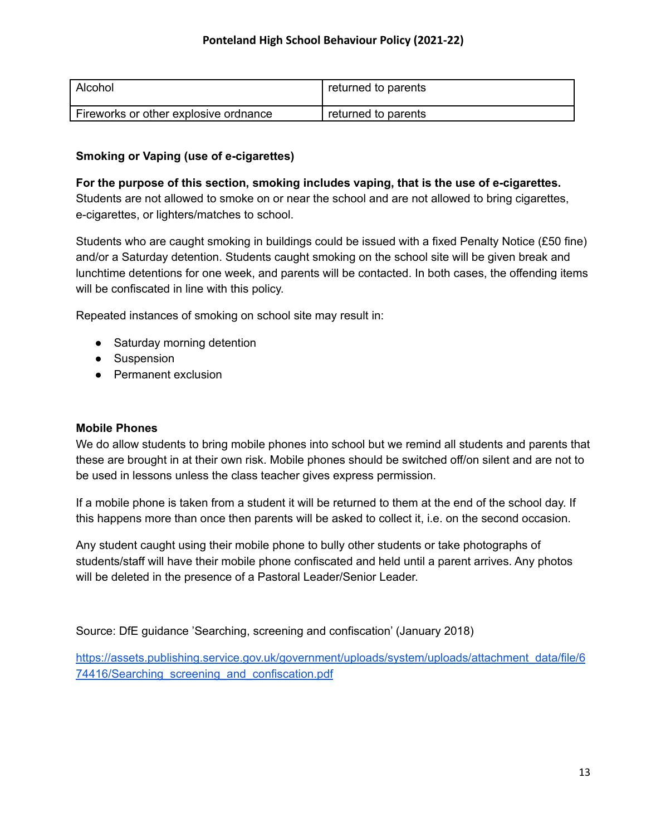| Alcohol                               | returned to parents |
|---------------------------------------|---------------------|
| Fireworks or other explosive ordnance | returned to parents |

#### **Smoking or Vaping (use of e-cigarettes)**

**For the purpose of this section, smoking includes vaping, that is the use of e-cigarettes.** Students are not allowed to smoke on or near the school and are not allowed to bring cigarettes, e-cigarettes, or lighters/matches to school.

Students who are caught smoking in buildings could be issued with a fixed Penalty Notice (£50 fine) and/or a Saturday detention. Students caught smoking on the school site will be given break and lunchtime detentions for one week, and parents will be contacted. In both cases, the offending items will be confiscated in line with this policy.

Repeated instances of smoking on school site may result in:

- Saturday morning detention
- Suspension
- Permanent exclusion

#### **Mobile Phones**

We do allow students to bring mobile phones into school but we remind all students and parents that these are brought in at their own risk. Mobile phones should be switched off/on silent and are not to be used in lessons unless the class teacher gives express permission.

If a mobile phone is taken from a student it will be returned to them at the end of the school day. If this happens more than once then parents will be asked to collect it, i.e. on the second occasion.

Any student caught using their mobile phone to bully other students or take photographs of students/staff will have their mobile phone confiscated and held until a parent arrives. Any photos will be deleted in the presence of a Pastoral Leader/Senior Leader.

Source: DfE guidance 'Searching, screening and confiscation' (January 2018)

[https://assets.publishing.service.gov.uk/government/uploads/system/uploads/attachment\\_data/file/6](https://assets.publishing.service.gov.uk/government/uploads/system/uploads/attachment_data/file/674416/Searching_screening_and_confiscation.pdf) 74416/Searching screening and confiscation.pdf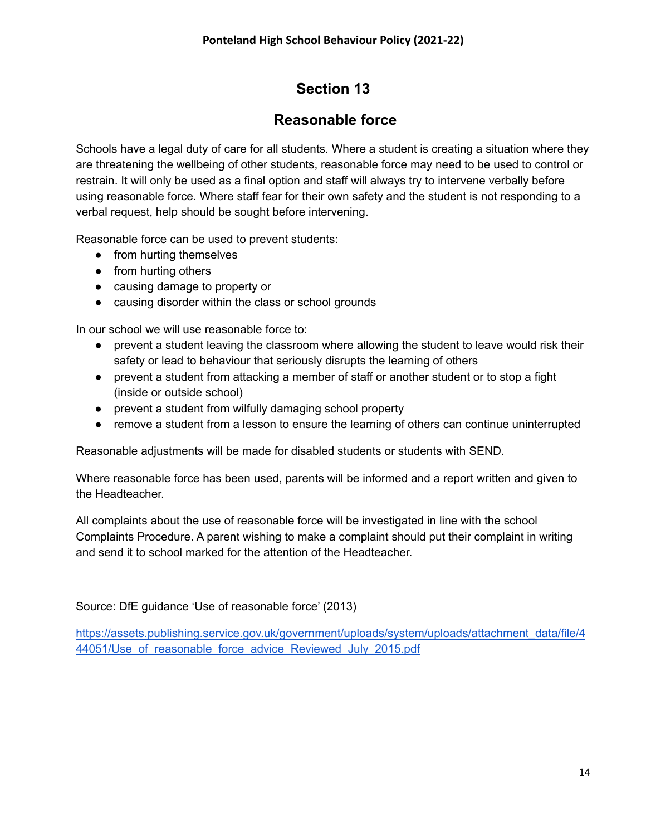#### **Reasonable force**

Schools have a legal duty of care for all students. Where a student is creating a situation where they are threatening the wellbeing of other students, reasonable force may need to be used to control or restrain. It will only be used as a final option and staff will always try to intervene verbally before using reasonable force. Where staff fear for their own safety and the student is not responding to a verbal request, help should be sought before intervening.

Reasonable force can be used to prevent students:

- from hurting themselves
- from hurting others
- causing damage to property or
- causing disorder within the class or school grounds

In our school we will use reasonable force to:

- prevent a student leaving the classroom where allowing the student to leave would risk their safety or lead to behaviour that seriously disrupts the learning of others
- prevent a student from attacking a member of staff or another student or to stop a fight (inside or outside school)
- prevent a student from wilfully damaging school property
- remove a student from a lesson to ensure the learning of others can continue uninterrupted

Reasonable adjustments will be made for disabled students or students with SEND.

Where reasonable force has been used, parents will be informed and a report written and given to the Headteacher.

All complaints about the use of reasonable force will be investigated in line with the school Complaints Procedure. A parent wishing to make a complaint should put their complaint in writing and send it to school marked for the attention of the Headteacher.

Source: DfE guidance 'Use of reasonable force' (2013)

[https://assets.publishing.service.gov.uk/government/uploads/system/uploads/attachment\\_data/file/4](https://assets.publishing.service.gov.uk/government/uploads/system/uploads/attachment_data/file/444051/Use_of_reasonable_force_advice_Reviewed_July_2015.pdf) 44051/Use of reasonable force advice Reviewed July 2015.pdf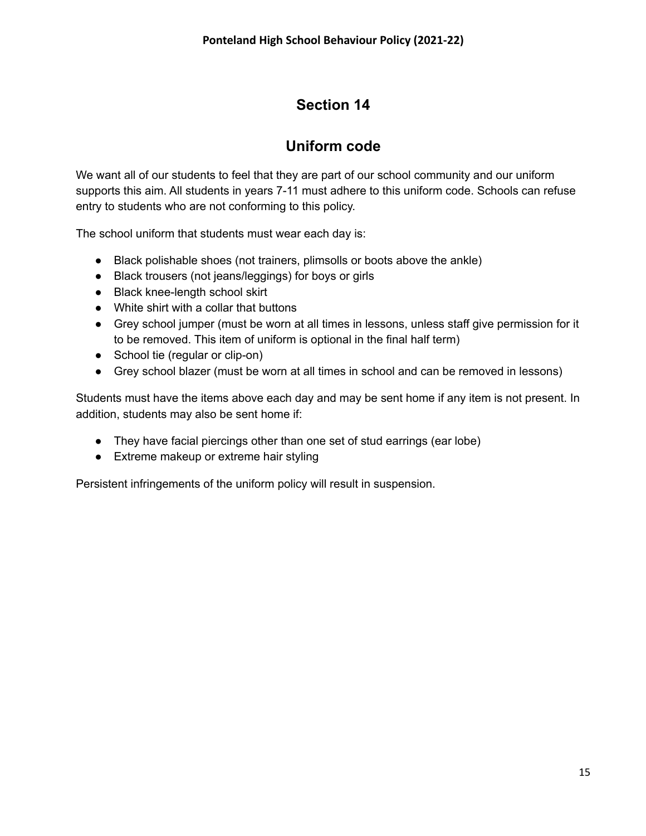### **Uniform code**

We want all of our students to feel that they are part of our school community and our uniform supports this aim. All students in years 7-11 must adhere to this uniform code. Schools can refuse entry to students who are not conforming to this policy.

The school uniform that students must wear each day is:

- Black polishable shoes (not trainers, plimsolls or boots above the ankle)
- Black trousers (not jeans/leggings) for boys or girls
- Black knee-length school skirt
- White shirt with a collar that buttons
- Grey school jumper (must be worn at all times in lessons, unless staff give permission for it to be removed. This item of uniform is optional in the final half term)
- School tie (regular or clip-on)
- Grey school blazer (must be worn at all times in school and can be removed in lessons)

Students must have the items above each day and may be sent home if any item is not present. In addition, students may also be sent home if:

- They have facial piercings other than one set of stud earrings (ear lobe)
- Extreme makeup or extreme hair styling

Persistent infringements of the uniform policy will result in suspension.